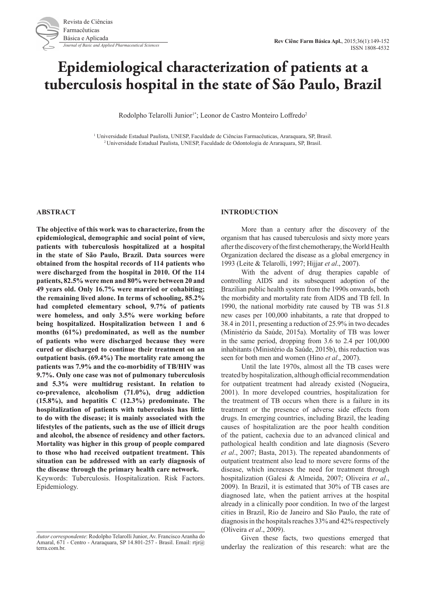# **Epidemiological characterization of patients at a tuberculosis hospital in the state of São Paulo, Brazil**

Rodolpho Telarolli Junior<sup>1\*</sup>; Leonor de Castro Monteiro Loffredo<sup>2</sup>

<sup>1</sup> Universidade Estadual Paulista, UNESP, Faculdade de Ciências Farmacêuticas, Araraquara, SP, Brasil. <sup>2</sup> Universidade Estadual Paulista, UNESP, Faculdade de Odontologia de Araraquara, SP, Brasil.

#### **ABSTRACT**

**The objective of this work was to characterize, from the epidemiological, demographic and social point of view, patients with tuberculosis hospitalized at a hospital in the state of São Paulo, Brazil. Data sources were obtained from the hospital records of 114 patients who were discharged from the hospital in 2010. Of the 114 patients, 82.5% were men and 80% were between 20 and 49 years old. Only 16.7% were married or cohabiting; the remaining lived alone. In terms of schooling, 85.2% had completed elementary school, 9.7% of patients were homeless, and only 3.5% were working before being hospitalized. Hospitalization between 1 and 6 months (61%) predominated, as well as the number of patients who were discharged because they were cured or discharged to continue their treatment on an outpatient basis. (69.4%) The mortality rate among the patients was 7.9% and the co-morbidity of TB/HIV was 9.7%. Only one case was not of pulmonary tuberculosis and 5.3% were multidrug resistant. In relation to co-prevalence, alcoholism (71.0%), drug addiction (15.8%), and hepatitis C (12.3%) predominate. The hospitalization of patients with tuberculosis has little to do with the disease; it is mainly associated with the lifestyles of the patients, such as the use of illicit drugs and alcohol, the absence of residency and other factors. Mortality was higher in this group of people compared to those who had received outpatient treatment. This situation can be addressed with an early diagnosis of the disease through the primary health care network.** Keywords: Tuberculosis. Hospitalization. Risk Factors.

Epidemiology.

### **INTRODUCTION**

More than a century after the discovery of the organism that has caused tuberculosis and sixty more years after the discovery of the first chemotherapy, the World Health Organization declared the disease as a global emergency in 1993 (Leite & Telarolli, 1997; Hijjar *et al*., 2007).

With the advent of drug therapies capable of controlling AIDS and its subsequent adoption of the Brazilian public health system from the 1990s onwards, both the morbidity and mortality rate from AIDS and TB fell. In 1990, the national morbidity rate caused by TB was 51.8 new cases per 100,000 inhabitants, a rate that dropped to 38.4 in 2011, presenting a reduction of 25.9% in two decades (Ministério da Saúde, 2015a). Mortality of TB was lower in the same period, dropping from 3.6 to 2.4 per 100,000 inhabitants (Ministério da Saúde, 2015b), this reduction was seen for both men and women (Hino *et al*., 2007).

Until the late 1970s, almost all the TB cases were treated by hospitalization, although official recommendation for outpatient treatment had already existed (Nogueira, 2001). In more developed countries, hospitalization for the treatment of TB occurs when there is a failure in its treatment or the presence of adverse side effects from drugs. In emerging countries, including Brazil, the leading causes of hospitalization are the poor health condition of the patient, cachexia due to an advanced clinical and pathological health condition and late diagnosis (Severo *et al*., 2007; Basta, 2013). The repeated abandonments of outpatient treatment also lead to more severe forms of the disease, which increases the need for treatment through hospitalization (Galesi & Almeida, 2007; Oliveira *et al*., 2009). In Brazil, it is estimated that 30% of TB cases are diagnosed late, when the patient arrives at the hospital already in a clinically poor condition. In two of the largest cities in Brazil, Rio de Janeiro and São Paulo, the rate of diagnosis in the hospitals reaches 33% and 42% respectively (Oliveira *et al*., 2009).

Given these facts, two questions emerged that underlay the realization of this research: what are the

*Autor correspondente*: Rodolpho Telarolli Junior, Av. Francisco Aranha do Amaral, 671 - Centro - Araraquara, SP 14.801-257 - Brasil. Email: rtjr@ terra.com.br.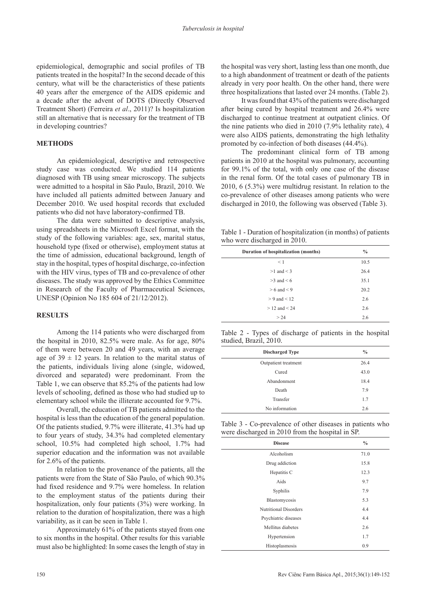epidemiological, demographic and social profiles of TB patients treated in the hospital? In the second decade of this century, what will be the characteristics of these patients 40 years after the emergence of the AIDS epidemic and a decade after the advent of DOTS (Directly Observed Treatment Short) (Ferreira *et al*., 2011)? Is hospitalization still an alternative that is necessary for the treatment of TB in developing countries?

# **METHODS**

An epidemiological, descriptive and retrospective study case was conducted. We studied 114 patients diagnosed with TB using smear microscopy. The subjects were admitted to a hospital in São Paulo, Brazil, 2010. We have included all patients admitted between January and December 2010. We used hospital records that excluded patients who did not have laboratory-confirmed TB.

The data were submitted to descriptive analysis, using spreadsheets in the Microsoft Excel format, with the study of the following variables: age, sex, marital status, household type (fixed or otherwise), employment status at the time of admission, educational background, length of stay in the hospital, types of hospital discharge, co-infection with the HIV virus, types of TB and co-prevalence of other diseases. The study was approved by the Ethics Committee in Research of the Faculty of Pharmaceutical Sciences, UNESP (Opinion No 185 604 of 21/12/2012).

#### **RESULTS**

Among the 114 patients who were discharged from the hospital in 2010, 82.5% were male. As for age, 80% of them were between 20 and 49 years, with an average age of  $39 \pm 12$  years. In relation to the marital status of the patients, individuals living alone (single, widowed, divorced and separated) were predominant. From the Table 1, we can observe that 85.2% of the patients had low levels of schooling, defined as those who had studied up to elementary school while the illiterate accounted for 9.7%.

Overall, the education of TB patients admitted to the hospital is less than the education of the general population. Of the patients studied, 9.7% were illiterate, 41.3% had up to four years of study, 34.3% had completed elementary school, 10.5% had completed high school, 1.7% had superior education and the information was not available for 2.6% of the patients.

In relation to the provenance of the patients, all the patients were from the State of São Paulo, of which 90.3% had fixed residence and 9.7% were homeless. In relation to the employment status of the patients during their hospitalization, only four patients (3%) were working. In relation to the duration of hospitalization, there was a high variability, as it can be seen in Table 1.

Approximately 61% of the patients stayed from one to six months in the hospital. Other results for this variable must also be highlighted: In some cases the length of stay in

the hospital was very short, lasting less than one month, due to a high abandonment of treatment or death of the patients already in very poor health. On the other hand, there were three hospitalizations that lasted over 24 months. (Table 2).

It was found that 43% of the patients were discharged after being cured by hospital treatment and 26.4% were discharged to continue treatment at outpatient clinics. Of the nine patients who died in 2010 (7.9% lethality rate), 4 were also AIDS patients, demonstrating the high lethality promoted by co-infection of both diseases (44.4%).

The predominant clinical form of TB among patients in 2010 at the hospital was pulmonary, accounting for 99.1% of the total, with only one case of the disease in the renal form. Of the total cases of pulmonary TB in 2010, 6 (5.3%) were multidrug resistant. In relation to the co-prevalence of other diseases among patients who were discharged in 2010, the following was observed (Table 3).

Table 1 - Duration of hospitalization (in months) of patients who were discharged in 2010.

| ↩                                    |      |
|--------------------------------------|------|
| Duration of hospitalization (months) | $\%$ |
| < 1                                  | 10.5 |
| $>1$ and $<$ 3                       | 26.4 |
| $>3$ and $< 6$                       | 35.1 |
| $> 6$ and $< 9$                      | 20.2 |
| $> 9$ and $< 12$                     | 2.6  |
| $> 12$ and $< 24$                    | 2.6  |
| > 24                                 | 2.6  |

Table 2 - Types of discharge of patients in the hospital studied, Brazil, 2010.

| <b>Discharged Type</b> | $\frac{0}{0}$ |
|------------------------|---------------|
| Outpatient treatment   | 26.4          |
| Cured                  | 43.0          |
| Abandonment            | 18.4          |
| Death                  | 7.9           |
| Transfer               | 1.7           |
| No information         | 2.6           |

Table 3 - Co-prevalence of other diseases in patients who were discharged in 2010 from the hospital in SP.

| <b>Disease</b>               | $\frac{0}{0}$ |
|------------------------------|---------------|
| Alcoholism                   | 71.0          |
| Drug addiction               | 15.8          |
| Hepatitis C                  | 12.3          |
| Aids                         | 9.7           |
| Syphilis                     | 7.9           |
| Blastomycosis                | 5.3           |
| <b>Nutritional Disorders</b> | 4.4           |
| Psychiatric diseases         | 4.4           |
| Mellitus diabetes            | 2.6           |
| Hypertension                 | 1.7           |
| Histoplasmosis               | 0.9           |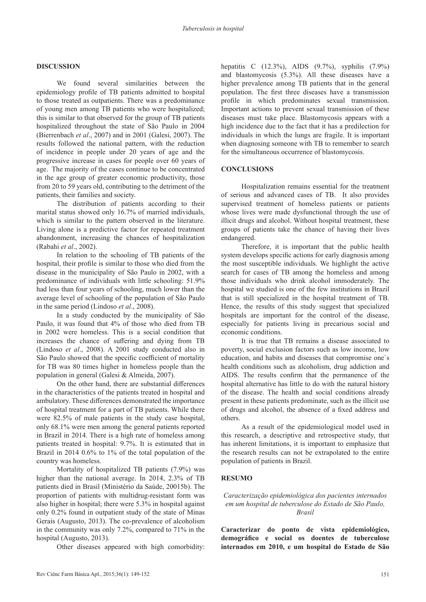## **DISCUSSION**

We found several similarities between the epidemiology profile of TB patients admitted to hospital to those treated as outpatients. There was a predominance of young men among TB patients who were hospitalized; this is similar to that observed for the group of TB patients hospitalized throughout the state of São Paulo in 2004 (Bierrenbach *et al*., 2007) and in 2001 (Galesi, 2007). The results followed the national pattern, with the reduction of incidence in people under 20 years of age and the progressive increase in cases for people over 60 years of age. The majority of the cases continue to be concentrated in the age group of greater economic productivity, those from 20 to 59 years old, contributing to the detriment of the patients, their families and society.

The distribution of patients according to their marital status showed only 16.7% of married individuals, which is similar to the pattern observed in the literature. Living alone is a predictive factor for repeated treatment abandonment, increasing the chances of hospitalization (Rabahi *et al*., 2002).

In relation to the schooling of TB patients of the hospital, their profile is similar to those who died from the disease in the municipality of São Paulo in 2002, with a predominance of individuals with little schooling: 51.9% had less than four years of schooling, much lower than the average level of schooling of the population of São Paulo in the same period (Lindoso *et al*., 2008).

In a study conducted by the municipality of São Paulo, it was found that 4% of those who died from TB in 2002 were homeless. This is a social condition that increases the chance of suffering and dying from TB (Lindoso *et al*., 2008). A 2001 study conducted also in São Paulo showed that the specific coefficient of mortality for TB was 80 times higher in homeless people than the population in general (Galesi & Almeida, 2007).

On the other hand, there are substantial differences in the characteristics of the patients treated in hospital and ambulatory. These differences demonstrated the importance of hospital treatment for a part of TB patients. While there were 82.5% of male patients in the study case hospital, only 68.1% were men among the general patients reported in Brazil in 2014. There is a high rate of homeless among patients treated in hospital: 9.7%. It is estimated that in Brazil in 2014 0.6% to 1% of the total population of the country was homeless.

Mortality of hospitalized TB patients (7.9%) was higher than the national average. In 2014, 2.3% of TB patients died in Brasil (Ministério da Saúde, 20015b). The proportion of patients with multidrug-resistant form was also higher in hospital; there were 5.3% in hospital against only 0.2% found in outpatient study of the state of Minas Gerais (Augusto, 2013). The co-prevalence of alcoholism in the community was only 7.2%, compared to 71% in the hospital (Augusto, 2013).

Other diseases appeared with high comorbidity:

hepatitis C (12.3%), AIDS (9.7%), syphilis (7.9%) and blastomycosis (5.3%). All these diseases have a higher prevalence among TB patients that in the general population. The first three diseases have a transmission profile in which predominates sexual transmission. Important actions to prevent sexual transmission of these diseases must take place. Blastomycosis appears with a high incidence due to the fact that it has a predilection for individuals in which the lungs are fragile. It is important when diagnosing someone with TB to remember to search for the simultaneous occurrence of blastomycosis.

## **CONCLUSIONS**

Hospitalization remains essential for the treatment of serious and advanced cases of TB. It also provides supervised treatment of homeless patients or patients whose lives were made dysfunctional through the use of illicit drugs and alcohol. Without hospital treatment, these groups of patients take the chance of having their lives endangered.

Therefore, it is important that the public health system develops specific actions for early diagnosis among the most susceptible individuals. We highlight the active search for cases of TB among the homeless and among those individuals who drink alcohol immoderately. The hospital we studied is one of the few institutions in Brazil that is still specialized in the hospital treatment of TB. Hence, the results of this study suggest that specialized hospitals are important for the control of the disease, especially for patients living in precarious social and economic conditions.

It is true that TB remains a disease associated to poverty, social exclusion factors such as low income, low education, and habits and diseases that compromise one`s health conditions such as alcoholism, drug addiction and AIDS. The results confirm that the permanence of the hospital alternative has little to do with the natural history of the disease. The health and social conditions already present in these patients predominate, such as the illicit use of drugs and alcohol, the absence of a fixed address and others.

As a result of the epidemiological model used in this research, a descriptive and retrospective study, that has inherent limitations, it is important to emphasize that the research results can not be extrapolated to the entire population of patients in Brazil.

### **RESUMO**

## *Caracterização epidemiológica dos pacientes internados em um hospital de tuberculose do Estado de São Paulo, Brasil*

**Caracterizar do ponto de vista epidemiológico, demográfico e social os doentes de tuberculose internados em 2010, e um hospital do Estado de São**